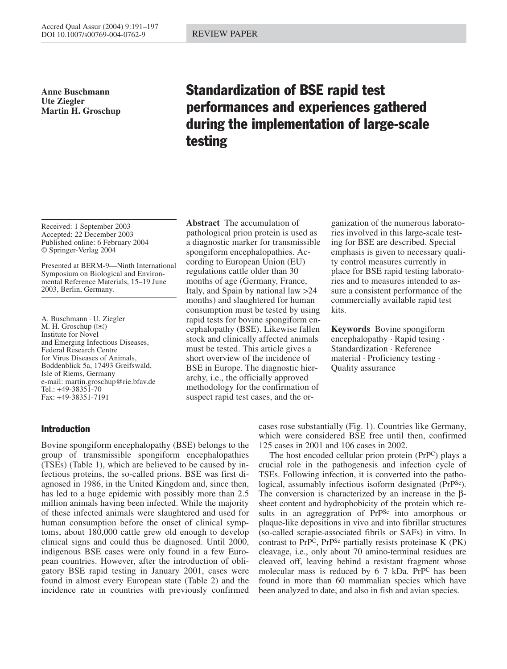**Anne Buschmann Ute Ziegler Martin H. Groschup**

# Standardization of BSE rapid test performances and experiences gathered during the implementation of large-scale testing

Received: 1 September 2003 Accepted: 22 December 2003 Published online: 6 February 2004 © Springer-Verlag 2004

Presented at BERM-9—Ninth International Symposium on Biological and Environmental Reference Materials, 15–19 June 2003, Berlin, Germany.

A. Buschmann · U. Ziegler M. H. Groschup ( $\boxtimes$ ) Institute for Novel and Emerging Infectious Diseases, Federal Research Centre for Virus Diseases of Animals, Boddenblick 5a, 17493 Greifswald, Isle of Riems, Germany e-mail: martin.groschup@rie.bfav.de Tel.: +49-38351-70 Fax: +49-38351-7191

**Abstract** The accumulation of pathological prion protein is used as a diagnostic marker for transmissible spongiform encephalopathies. According to European Union (EU) regulations cattle older than 30 months of age (Germany, France, Italy, and Spain by national law >24 months) and slaughtered for human consumption must be tested by using rapid tests for bovine spongiform encephalopathy (BSE). Likewise fallen stock and clinically affected animals must be tested. This article gives a short overview of the incidence of BSE in Europe. The diagnostic hierarchy, i.e., the officially approved methodology for the confirmation of suspect rapid test cases, and the or-

ganization of the numerous laboratories involved in this large-scale testing for BSE are described. Special emphasis is given to necessary quality control measures currently in place for BSE rapid testing laboratories and to measures intended to assure a consistent performance of the commercially available rapid test kits.

**Keywords** Bovine spongiform encephalopathy · Rapid tesing · Standardization · Reference material · Proficiency testing · Quality assurance

## Introduction

Bovine spongiform encephalopathy (BSE) belongs to the group of transmissible spongiform encephalopathies (TSEs) (Table 1), which are believed to be caused by infectious proteins, the so-called prions. BSE was first diagnosed in 1986, in the United Kingdom and, since then, has led to a huge epidemic with possibly more than 2.5 million animals having been infected. While the majority of these infected animals were slaughtered and used for human consumption before the onset of clinical symptoms, about 180,000 cattle grew old enough to develop clinical signs and could thus be diagnosed. Until 2000, indigenous BSE cases were only found in a few European countries. However, after the introduction of obligatory BSE rapid testing in January 2001, cases were found in almost every European state (Table 2) and the incidence rate in countries with previously confirmed cases rose substantially (Fig. 1). Countries like Germany, which were considered BSE free until then, confirmed 125 cases in 2001 and 106 cases in 2002.

The host encoded cellular prion protein (PrPC) plays a crucial role in the pathogenesis and infection cycle of TSEs. Following infection, it is converted into the pathological, assumably infectious isoform designated (PrPSc). The conversion is characterized by an increase in the βsheet content and hydrophobicity of the protein which results in an agreggration of PrP<sup>Sc</sup> into amorphous or plaque-like depositions in vivo and into fibrillar structures (so-called scrapie-associated fibrils or SAFs) in vitro. In contrast to PrPC, PrPSc partially resists proteinase K (PK) cleavage, i.e., only about 70 amino-terminal residues are cleaved off, leaving behind a resistant fragment whose molecular mass is reduced by 6–7 kDa. PrPC has been found in more than 60 mammalian species which have been analyzed to date, and also in fish and avian species.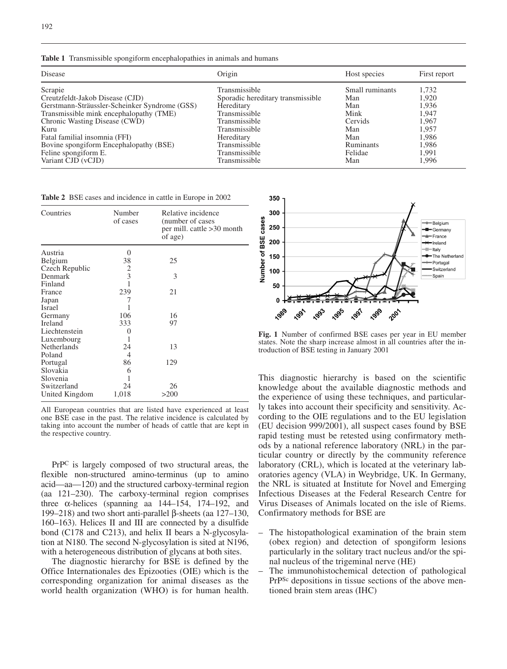**Table 1** Transmissible spongiform encephalopathies in animals and humans

| Disease                                       | Origin                            | Host species    | First report |
|-----------------------------------------------|-----------------------------------|-----------------|--------------|
| Scrapie                                       | Transmissible                     | Small ruminants | 1,732        |
| Creutzfeldt-Jakob Disease (CJD)               | Sporadic hereditary transmissible | Man             | 1.920        |
| Gerstmann-Sträussler-Scheinker Syndrome (GSS) | Hereditary                        | Man             | 1,936        |
| Transmissible mink encephalopathy (TME)       | Transmissible                     | Mink            | 1,947        |
| Chronic Wasting Disease (CWD)                 | Transmissible                     | Cervids         | 1,967        |
| Kuru                                          | Transmissible                     | Man             | 1.957        |
| Fatal familial insomnia (FFI)                 | Hereditary                        | Man             | 1,986        |
| Bovine spongiform Encephalopathy (BSE)        | Transmissible                     | Ruminants       | 1.986        |
| Feline spongiform E.                          | Transmissible                     | Felidae         | 1.991        |
| Variant CJD (vCJD)                            | Transmissible                     | Man             | 1,996        |

**Table 2** BSE cases and incidence in cattle in Europe in 2002

| Countries      | Number<br>of cases | Relative incidence<br>(number of cases)<br>per mill. cattle > 30 month<br>of age) |  |
|----------------|--------------------|-----------------------------------------------------------------------------------|--|
| Austria        | $\theta$           |                                                                                   |  |
| Belgium        | 38                 | 25                                                                                |  |
| Czech Republic | $\frac{2}{3}$      |                                                                                   |  |
| Denmark        |                    | 3                                                                                 |  |
| Finland        | 1                  |                                                                                   |  |
| France         | 239                | 21                                                                                |  |
| Japan          | 7                  |                                                                                   |  |
| Israel         |                    |                                                                                   |  |
| Germany        | 106                | 16                                                                                |  |
| Ireland        | 333                | 97                                                                                |  |
| Liechtenstein  | 0                  |                                                                                   |  |
| Luxembourg     | 1                  |                                                                                   |  |
| Netherlands    | 24                 | 13                                                                                |  |
| Poland         | 4                  |                                                                                   |  |
| Portugal       | 86                 | 129                                                                               |  |
| Slovakia       | 6                  |                                                                                   |  |
| Slovenia       |                    |                                                                                   |  |
| Switzerland    | 24                 | 26                                                                                |  |
| United Kingdom | 1,018              | >200                                                                              |  |

All European countries that are listed have experienced at least one BSE case in the past. The relative incidence is calculated by taking into account the number of heads of cattle that are kept in the respective country.

PrPC is largely composed of two structural areas, the flexible non-structured amino-terminus (up to amino acid—aa—120) and the structured carboxy-terminal region (aa 121–230). The carboxy-terminal region comprises three α-helices (spanning aa  $144-154$ ,  $174-192$ , and 199–218) and two short anti-parallel β-sheets (aa 127–130, 160–163). Helices II and III are connected by a disulfide bond (C178 and C213), and helix II bears a N-glycosylation at N180. The second N-glycosylation is sited at N196, with a heterogeneous distribution of glycans at both sites.

The diagnostic hierarchy for BSE is defined by the Office Internationales des Epizooties (OIE) which is the corresponding organization for animal diseases as the world health organization (WHO) is for human health.



**Fig. 1** Number of confirmed BSE cases per year in EU member states. Note the sharp increase almost in all countries after the introduction of BSE testing in January 2001

This diagnostic hierarchy is based on the scientific knowledge about the available diagnostic methods and the experience of using these techniques, and particularly takes into account their specificity and sensitivity. According to the OIE regulations and to the EU legislation (EU decision 999/2001), all suspect cases found by BSE rapid testing must be retested using confirmatory methods by a national reference laboratory (NRL) in the particular country or directly by the community reference laboratory (CRL), which is located at the veterinary laboratories agency (VLA) in Weybridge, UK. In Germany, the NRL is situated at Institute for Novel and Emerging Infectious Diseases at the Federal Research Centre for Virus Diseases of Animals located on the isle of Riems. Confirmatory methods for BSE are

- The histopathological examination of the brain stem (obex region) and detection of spongiform lesions particularly in the solitary tract nucleus and/or the spinal nucleus of the trigeminal nerve (HE)
- The immunohistochemical detection of pathological PrPSc depositions in tissue sections of the above mentioned brain stem areas (IHC)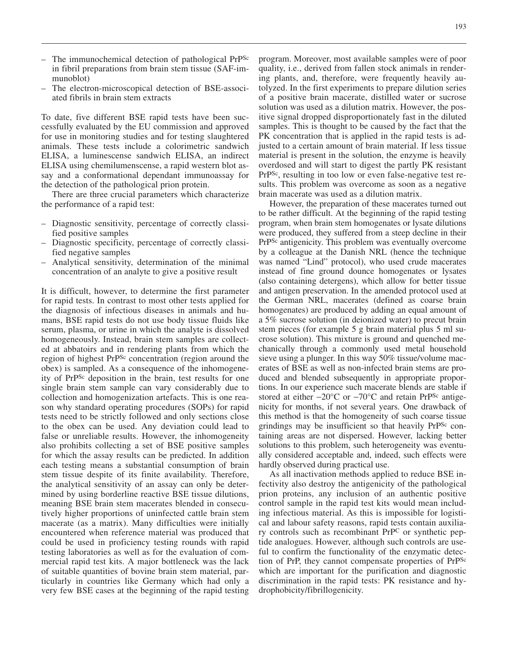- The immunochemical detection of pathological PrPSc in fibril preparations from brain stem tissue (SAF-immunoblot)
- The electron-microscopical detection of BSE-associated fibrils in brain stem extracts

To date, five different BSE rapid tests have been successfully evaluated by the EU commission and approved for use in monitoring studies and for testing slaughtered animals. These tests include a colorimetric sandwich ELISA, a luminescense sandwich ELISA, an indirect ELISA using chemilumenscense, a rapid western blot assay and a conformational dependant immunoassay for the detection of the pathological prion protein.

There are three crucial parameters which characterize the performance of a rapid test:

- Diagnostic sensitivity, percentage of correctly classified positive samples
- Diagnostic specificity, percentage of correctly classified negative samples
- Analytical sensitivity, determination of the minimal concentration of an analyte to give a positive result

It is difficult, however, to determine the first parameter for rapid tests. In contrast to most other tests applied for the diagnosis of infectious diseases in animals and humans, BSE rapid tests do not use body tissue fluids like serum, plasma, or urine in which the analyte is dissolved homogeneously. Instead, brain stem samples are collected at abbatoirs and in rendering plants from which the region of highest PrPSc concentration (region around the obex) is sampled. As a consequence of the inhomogeneity of PrPSc deposition in the brain, test results for one single brain stem sample can vary considerably due to collection and homogenization artefacts. This is one reason why standard operating procedures (SOPs) for rapid tests need to be strictly followed and only sections close to the obex can be used. Any deviation could lead to false or unreliable results. However, the inhomogeneity also prohibits collecting a set of BSE positive samples for which the assay results can be predicted. In addition each testing means a substantial consumption of brain stem tissue despite of its finite availability. Therefore, the analytical sensitivity of an assay can only be determined by using borderline reactive BSE tissue dilutions, meaning BSE brain stem macerates blended in consecutively higher proportions of uninfected cattle brain stem macerate (as a matrix). Many difficulties were initially encountered when reference material was produced that could be used in proficiency testing rounds with rapid testing laboratories as well as for the evaluation of commercial rapid test kits. A major bottleneck was the lack of suitable quantities of bovine brain stem material, particularly in countries like Germany which had only a very few BSE cases at the beginning of the rapid testing

program. Moreover, most available samples were of poor quality, i.e., derived from fallen stock animals in rendering plants, and, therefore, were frequently heavily autolyzed. In the first experiments to prepare dilution series of a positive brain macerate, distilled water or sucrose solution was used as a dilution matrix. However, the positive signal dropped disproportionately fast in the diluted samples. This is thought to be caused by the fact that the PK concentration that is applied in the rapid tests is adjusted to a certain amount of brain material. If less tissue material is present in the solution, the enzyme is heavily overdosed and will start to digest the partly PK resistant PrPSc, resulting in too low or even false-negative test results. This problem was overcome as soon as a negative brain macerate was used as a dilution matrix.

However, the preparation of these macerates turned out to be rather difficult. At the beginning of the rapid testing program, when brain stem homogenates or lysate dilutions were produced, they suffered from a steep decline in their PrPSc antigenicity. This problem was eventually overcome by a colleague at the Danish NRL (hence the technique was named "Lind" protocol), who used crude macerates instead of fine ground dounce homogenates or lysates (also containing detergens), which allow for better tissue and antigen preservation. In the amended protocol used at the German NRL, macerates (defined as coarse brain homogenates) are produced by adding an equal amount of a 5% sucrose solution (in deionized water) to precut brain stem pieces (for example 5 g brain material plus 5 ml sucrose solution). This mixture is ground and quenched mechanically through a commonly used metal household sieve using a plunger. In this way 50% tissue/volume macerates of BSE as well as non-infected brain stems are produced and blended subsequently in appropriate proportions. In our experience such macerate blends are stable if stored at either −20°C or −70°C and retain PrP<sup>Sc</sup> antigenicity for months, if not several years. One drawback of this method is that the homogeneity of such coarse tissue grindings may be insufficient so that heavily PrPSc containing areas are not dispersed. However, lacking better solutions to this problem, such heterogeneity was eventually considered acceptable and, indeed, such effects were hardly observed during practical use.

As all inactivation methods applied to reduce BSE infectivity also destroy the antigenicity of the pathological prion proteins, any inclusion of an authentic positive control sample in the rapid test kits would mean including infectious material. As this is impossible for logistical and labour safety reasons, rapid tests contain auxiliary controls such as recombinant PrPC or synthetic peptide analogues. However, although such controls are useful to confirm the functionality of the enzymatic detection of PrP, they cannot compensate properties of PrPSc which are important for the purification and diagnostic discrimination in the rapid tests: PK resistance and hydrophobicity/fibrillogenicity.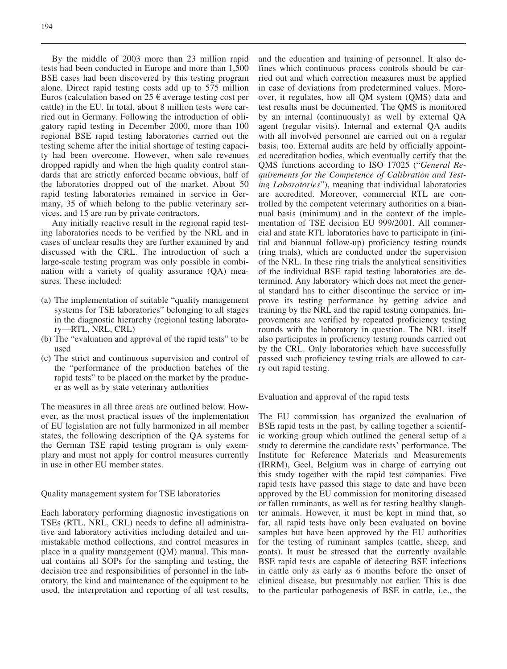By the middle of 2003 more than 23 million rapid tests had been conducted in Europe and more than 1,500 BSE cases had been discovered by this testing program alone. Direct rapid testing costs add up to 575 million Euros (calculation based on  $25 \epsilon$  average testing cost per cattle) in the EU. In total, about 8 million tests were carried out in Germany. Following the introduction of obligatory rapid testing in December 2000, more than 100 regional BSE rapid testing laboratories carried out the testing scheme after the initial shortage of testing capacity had been overcome. However, when sale revenues dropped rapidly and when the high quality control standards that are strictly enforced became obvious, half of the laboratories dropped out of the market. About 50 rapid testing laboratories remained in service in Germany, 35 of which belong to the public veterinary services, and 15 are run by private contractors.

Any initially reactive result in the regional rapid testing laboratories needs to be verified by the NRL and in cases of unclear results they are further examined by and discussed with the CRL. The introduction of such a large-scale testing program was only possible in combination with a variety of quality assurance (QA) measures. These included:

- (a) The implementation of suitable "quality management systems for TSE laboratories" belonging to all stages in the diagnostic hierarchy (regional testing laboratory—RTL, NRL, CRL)
- (b) The "evaluation and approval of the rapid tests" to be used
- (c) The strict and continuous supervision and control of the "performance of the production batches of the rapid tests" to be placed on the market by the producer as well as by state veterinary authorities

The measures in all three areas are outlined below. However, as the most practical issues of the implementation of EU legislation are not fully harmonized in all member states, the following description of the QA systems for the German TSE rapid testing program is only exemplary and must not apply for control measures currently in use in other EU member states.

Quality management system for TSE laboratories

Each laboratory performing diagnostic investigations on TSEs (RTL, NRL, CRL) needs to define all administrative and laboratory activities including detailed and unmistakable method collections, and control measures in place in a quality management (QM) manual. This manual contains all SOPs for the sampling and testing, the decision tree and responsibilities of personnel in the laboratory, the kind and maintenance of the equipment to be used, the interpretation and reporting of all test results,

and the education and training of personnel. It also defines which continuous process controls should be carried out and which correction measures must be applied in case of deviations from predetermined values. Moreover, it regulates, how all QM system (QMS) data and test results must be documented. The QMS is monitored by an internal (continuously) as well by external QA agent (regular visits). Internal and external QA audits with all involved personnel are carried out on a regular basis, too. External audits are held by officially appointed accreditation bodies, which eventually certify that the QMS functions according to ISO 17025 ("*General Requirements for the Competence of Calibration and Testing Laboratories*"), meaning that individual laboratories are accredited. Moreover, commercial RTL are controlled by the competent veterinary authorities on a biannual basis (minimum) and in the context of the implementation of TSE decision EU 999/2001. All commercial and state RTL laboratories have to participate in (initial and biannual follow-up) proficiency testing rounds (ring trials), which are conducted under the supervision of the NRL. In these ring trials the analytical sensitivities of the individual BSE rapid testing laboratories are determined. Any laboratory which does not meet the general standard has to either discontinue the service or improve its testing performance by getting advice and training by the NRL and the rapid testing companies. Improvements are verified by repeated proficiency testing rounds with the laboratory in question. The NRL itself also participates in proficiency testing rounds carried out by the CRL. Only laboratories which have successfully passed such proficiency testing trials are allowed to carry out rapid testing.

Evaluation and approval of the rapid tests

The EU commission has organized the evaluation of BSE rapid tests in the past, by calling together a scientific working group which outlined the general setup of a study to determine the candidate tests' performance. The Institute for Reference Materials and Measurements (IRRM), Geel, Belgium was in charge of carrying out this study together with the rapid test companies. Five rapid tests have passed this stage to date and have been approved by the EU commission for monitoring diseased or fallen ruminants, as well as for testing healthy slaughter animals. However, it must be kept in mind that, so far, all rapid tests have only been evaluated on bovine samples but have been approved by the EU authorities for the testing of ruminant samples (cattle, sheep, and goats). It must be stressed that the currently available BSE rapid tests are capable of detecting BSE infections in cattle only as early as 6 months before the onset of clinical disease, but presumably not earlier. This is due to the particular pathogenesis of BSE in cattle, i.e., the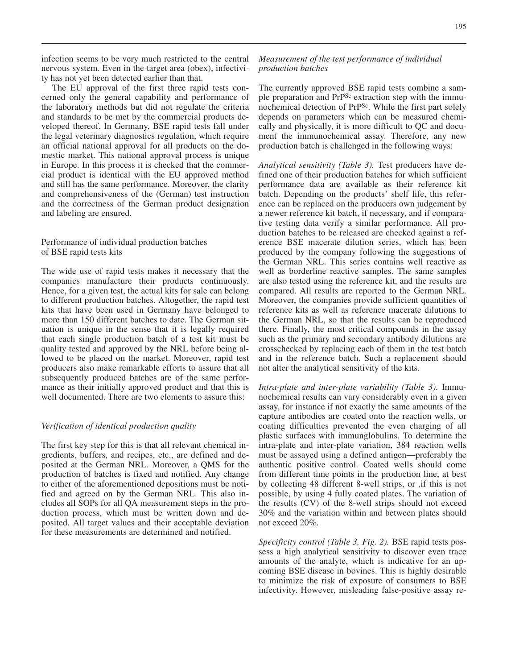infection seems to be very much restricted to the central nervous system. Even in the target area (obex), infectivity has not yet been detected earlier than that.

The EU approval of the first three rapid tests concerned only the general capability and performance of the laboratory methods but did not regulate the criteria and standards to be met by the commercial products developed thereof. In Germany, BSE rapid tests fall under the legal veterinary diagnostics regulation, which require an official national approval for all products on the domestic market. This national approval process is unique in Europe. In this process it is checked that the commercial product is identical with the EU approved method and still has the same performance. Moreover, the clarity and comprehensiveness of the (German) test instruction and the correctness of the German product designation and labeling are ensured.

#### Performance of individual production batches of BSE rapid tests kits

The wide use of rapid tests makes it necessary that the companies manufacture their products continuously. Hence, for a given test, the actual kits for sale can belong to different production batches. Altogether, the rapid test kits that have been used in Germany have belonged to more than 150 different batches to date. The German situation is unique in the sense that it is legally required that each single production batch of a test kit must be quality tested and approved by the NRL before being allowed to be placed on the market. Moreover, rapid test producers also make remarkable efforts to assure that all subsequently produced batches are of the same performance as their initially approved product and that this is well documented. There are two elements to assure this:

#### *Verification of identical production quality*

The first key step for this is that all relevant chemical ingredients, buffers, and recipes, etc., are defined and deposited at the German NRL. Moreover, a QMS for the production of batches is fixed and notified. Any change to either of the aforementioned depositions must be notified and agreed on by the German NRL. This also includes all SOPs for all QA measurement steps in the production process, which must be written down and deposited. All target values and their acceptable deviation for these measurements are determined and notified.

### *Measurement of the test performance of individual production batches*

The currently approved BSE rapid tests combine a sample preparation and PrPSc extraction step with the immunochemical detection of PrPSc. While the first part solely depends on parameters which can be measured chemically and physically, it is more difficult to QC and document the immunochemical assay. Therefore, any new production batch is challenged in the following ways:

*Analytical sensitivity (Table 3).* Test producers have defined one of their production batches for which sufficient performance data are available as their reference kit batch. Depending on the products' shelf life, this reference can be replaced on the producers own judgement by a newer reference kit batch, if necessary, and if comparative testing data verify a similar performance. All production batches to be released are checked against a reference BSE macerate dilution series, which has been produced by the company following the suggestions of the German NRL. This series contains well reactive as well as borderline reactive samples. The same samples are also tested using the reference kit, and the results are compared. All results are reported to the German NRL. Moreover, the companies provide sufficient quantities of reference kits as well as reference macerate dilutions to the German NRL, so that the results can be reproduced there. Finally, the most critical compounds in the assay such as the primary and secondary antibody dilutions are crosschecked by replacing each of them in the test batch and in the reference batch. Such a replacement should not alter the analytical sensitivity of the kits.

*Intra-plate and inter-plate variability (Table 3).* Immunochemical results can vary considerably even in a given assay, for instance if not exactly the same amounts of the capture antibodies are coated onto the reaction wells, or coating difficulties prevented the even charging of all plastic surfaces with immunglobulins. To determine the intra-plate and inter-plate variation, 384 reaction wells must be assayed using a defined antigen—preferably the authentic positive control. Coated wells should come from different time points in the production line, at best by collecting 48 different 8-well strips, or ,if this is not possible, by using 4 fully coated plates. The variation of the results (CV) of the 8-well strips should not exceed 30% and the variation within and between plates should not exceed 20%.

*Specificity control (Table 3, Fig. 2).* BSE rapid tests possess a high analytical sensitivity to discover even trace amounts of the analyte, which is indicative for an upcoming BSE disease in bovines. This is highly desirable to minimize the risk of exposure of consumers to BSE infectivity. However, misleading false-positive assay re-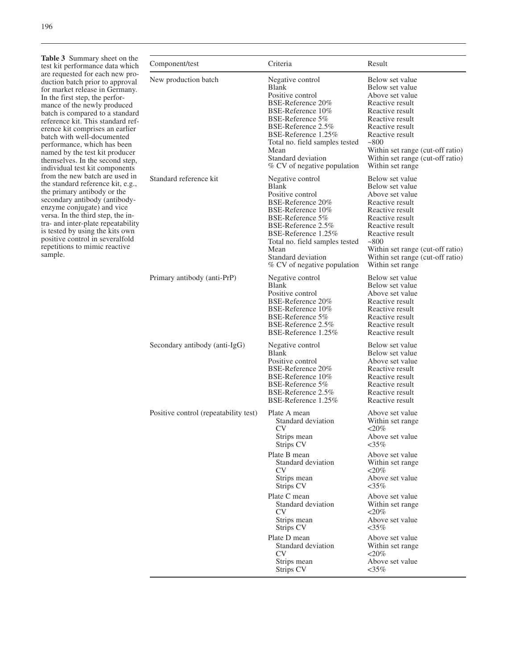**Table 3** Summary sheet on the test kit performance data which are requested for each new production batch prior to approval for market release in Germany. In the first step, the performance of the newly produced batch is compared to a standard reference kit. This standard reference kit comprises an earlier batch with well-documented performance, which has been named by the test kit producer themselves. In the second step, individual test kit components from the new batch are used in the standard reference kit, e.g., the primary antibody or the secondary antibody (antibodyenzyme conjugate) and vice versa. In the third step, the intra- and inter-plate repeatability is tested by using the kits own positive control in severalfold repetitions to mimic reactive sample.

| Component/test                        | Criteria                                                                                                                                                                                                                                                       | Result                                                                                                                                                                                                                                                    |
|---------------------------------------|----------------------------------------------------------------------------------------------------------------------------------------------------------------------------------------------------------------------------------------------------------------|-----------------------------------------------------------------------------------------------------------------------------------------------------------------------------------------------------------------------------------------------------------|
| New production batch                  | Negative control<br>Blank<br>Positive control<br>BSE-Reference 20%<br>BSE-Reference 10%<br>BSE-Reference 5%<br>BSE-Reference 2.5%<br>BSE-Reference 1.25%<br>Total no. field samples tested<br>Mean<br>Standard deviation<br>% CV of negative population        | Below set value<br>Below set value<br>Above set value<br>Reactive result<br>Reactive result<br>Reactive result<br>Reactive result<br>Reactive result<br>~1800<br>Within set range (cut-off ratio)<br>Within set range (cut-off ratio)<br>Within set range |
| Standard reference kit                | Negative control<br><b>Blank</b><br>Positive control<br>BSE-Reference 20%<br>BSE-Reference 10%<br>BSE-Reference 5%<br>BSE-Reference 2.5%<br>BSE-Reference 1.25%<br>Total no. field samples tested<br>Mean<br>Standard deviation<br>% CV of negative population | Below set value<br>Below set value<br>Above set value<br>Reactive result<br>Reactive result<br>Reactive result<br>Reactive result<br>Reactive result<br>~1800<br>Within set range (cut-off ratio)<br>Within set range (cut-off ratio)<br>Within set range |
| Primary antibody (anti-PrP)           | Negative control<br><b>Blank</b><br>Positive control<br>BSE-Reference 20%<br>BSE-Reference 10%<br>BSE-Reference 5%<br>BSE-Reference 2.5%<br>BSE-Reference 1.25%                                                                                                | Below set value<br>Below set value<br>Above set value<br>Reactive result<br>Reactive result<br>Reactive result<br>Reactive result<br>Reactive result                                                                                                      |
| Secondary antibody (anti-IgG)         | Negative control<br><b>Blank</b><br>Positive control<br>BSE-Reference 20%<br>BSE-Reference 10%<br>BSE-Reference 5%<br>BSE-Reference 2.5%<br>BSE-Reference 1.25%                                                                                                | Below set value<br>Below set value<br>Above set value<br>Reactive result<br>Reactive result<br>Reactive result<br>Reactive result<br>Reactive result                                                                                                      |
| Positive control (repeatability test) | Plate A mean<br>Standard deviation<br>CV<br>Strips mean<br>Strips CV<br>Plate B mean<br>Standard deviation<br>CV<br>Strips mean<br>Strips CV<br>Plate C mean<br>Standard deviation                                                                             | Above set value<br>Within set range<br>$<$ 20%<br>Above set value<br>$<$ 35%<br>Above set value<br>Within set range<br>$<$ 20%<br>Above set value<br>$<$ 35%<br>Above set value<br>Within set range                                                       |
|                                       | CV<br>Strips mean<br>Strips CV<br>Plate D mean<br>Standard deviation<br>CV<br>Strips mean<br>Strips CV                                                                                                                                                         | $<$ 20%<br>Above set value<br>$<$ 35%<br>Above set value<br>Within set range<br>$<$ 20%<br>Above set value<br>$<$ 35%                                                                                                                                     |